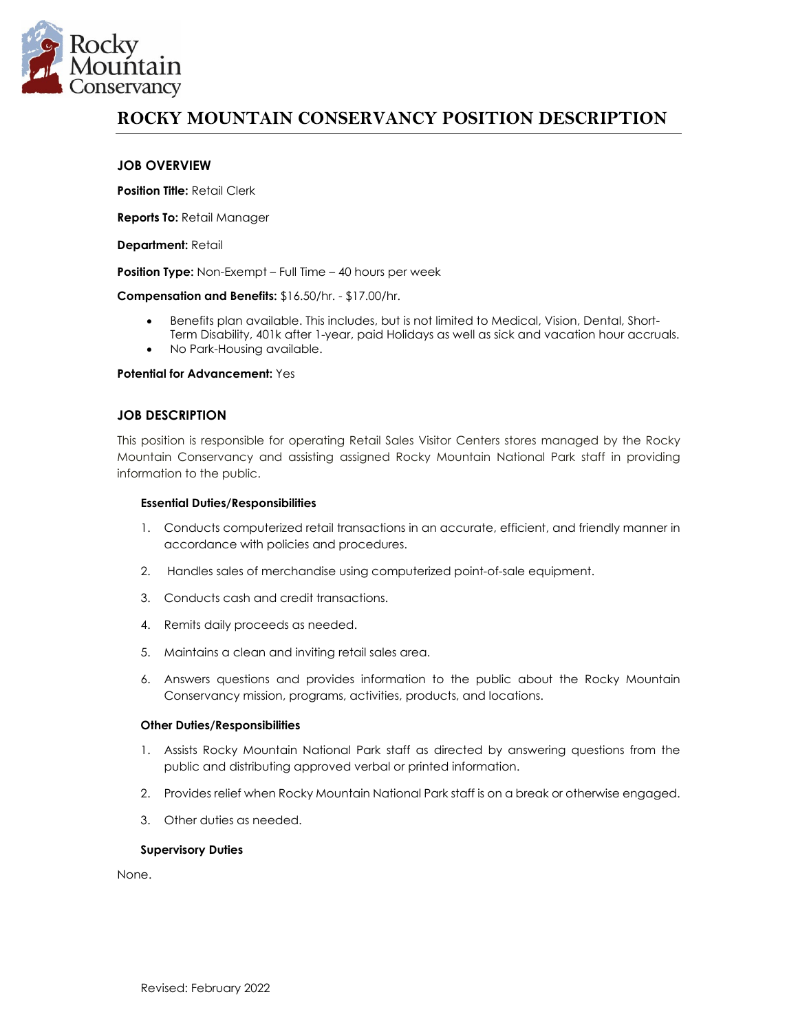

# **ROCKY MOUNTAIN CONSERVANCY POSITION DESCRIPTION**

## **JOB OVERVIEW**

**Position Title:** Retail Clerk

**Reports To:** Retail Manager

**Department:** Retail

**Position Type:** Non-Exempt – Full Time – 40 hours per week

**Compensation and Benefits:** \$16.50/hr. - \$17.00/hr.

- Benefits plan available. This includes, but is not limited to Medical, Vision, Dental, Short-Term Disability, 401k after 1-year, paid Holidays as well as sick and vacation hour accruals.
- No Park-Housing available.

#### **Potential for Advancement:** Yes

#### **JOB DESCRIPTION**

This position is responsible for operating Retail Sales Visitor Centers stores managed by the Rocky Mountain Conservancy and assisting assigned Rocky Mountain National Park staff in providing information to the public.

#### **Essential Duties/Responsibilities**

- 1. Conducts computerized retail transactions in an accurate, efficient, and friendly manner in accordance with policies and procedures.
- 2. Handles sales of merchandise using computerized point-of-sale equipment.
- 3. Conducts cash and credit transactions.
- 4. Remits daily proceeds as needed.
- 5. Maintains a clean and inviting retail sales area.
- 6. Answers questions and provides information to the public about the Rocky Mountain Conservancy mission, programs, activities, products, and locations.

#### **Other Duties/Responsibilities**

- 1. Assists Rocky Mountain National Park staff as directed by answering questions from the public and distributing approved verbal or printed information.
- 2. Provides relief when Rocky Mountain National Park staff is on a break or otherwise engaged.
- 3. Other duties as needed.

#### **Supervisory Duties**

None.